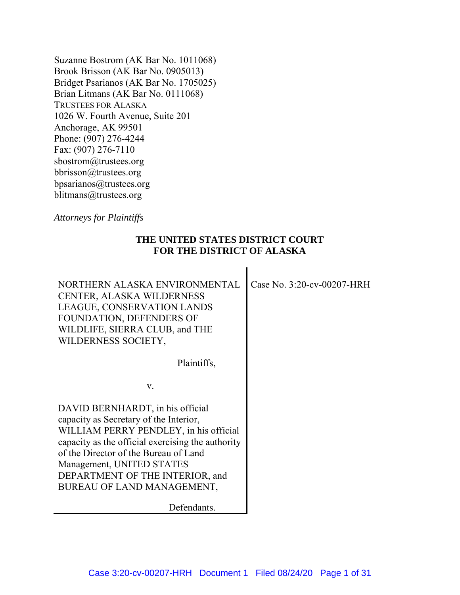Suzanne Bostrom (AK Bar No. 1011068) Brook Brisson (AK Bar No. 0905013) Bridget Psarianos (AK Bar No. 1705025) Brian Litmans (AK Bar No. 0111068) TRUSTEES FOR ALASKA 1026 W. Fourth Avenue, Suite 201 Anchorage, AK 99501 Phone: (907) 276-4244 Fax: (907) 276-7110 sbostrom@trustees.org bbrisson@trustees.org bpsarianos@trustees.org blitmans@trustees.org

*Attorneys for Plaintiffs*

### **THE UNITED STATES DISTRICT COURT FOR THE DISTRICT OF ALASKA**

NORTHERN ALASKA ENVIRONMENTAL CENTER, ALASKA WILDERNESS LEAGUE, CONSERVATION LANDS FOUNDATION, DEFENDERS OF WILDLIFE, SIERRA CLUB, and THE WILDERNESS SOCIETY, Plaintiffs, v. DAVID BERNHARDT, in his official capacity as Secretary of the Interior, WILLIAM PERRY PENDLEY, in his official capacity as the official exercising the authority of the Director of the Bureau of Land Management, UNITED STATES DEPARTMENT OF THE INTERIOR, and BUREAU OF LAND MANAGEMENT, Case No. 3:20-cv-00207-HRH

Defendants.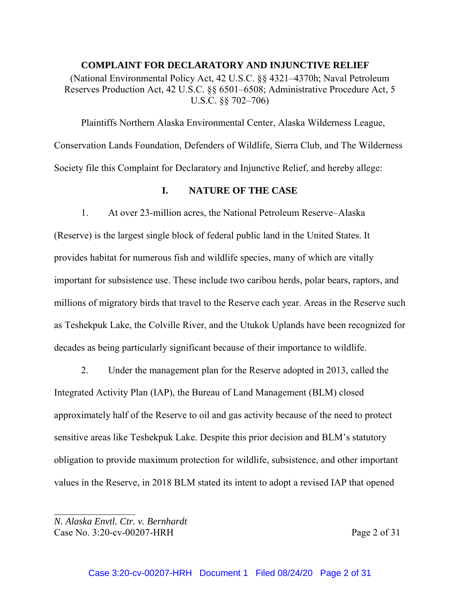**COMPLAINT FOR DECLARATORY AND INJUNCTIVE RELIEF** (National Environmental Policy Act, 42 U.S.C. §§ 4321–4370h; Naval Petroleum Reserves Production Act, 42 U.S.C. §§ 6501–6508; Administrative Procedure Act, 5 U.S.C. §§ 702–706)

Plaintiffs Northern Alaska Environmental Center, Alaska Wilderness League, Conservation Lands Foundation, Defenders of Wildlife, Sierra Club, and The Wilderness Society file this Complaint for Declaratory and Injunctive Relief, and hereby allege:

# **I. NATURE OF THE CASE**

1. At over 23-million acres, the National Petroleum Reserve–Alaska (Reserve) is the largest single block of federal public land in the United States. It provides habitat for numerous fish and wildlife species, many of which are vitally important for subsistence use. These include two caribou herds, polar bears, raptors, and millions of migratory birds that travel to the Reserve each year. Areas in the Reserve such as Teshekpuk Lake, the Colville River, and the Utukok Uplands have been recognized for decades as being particularly significant because of their importance to wildlife.

2. Under the management plan for the Reserve adopted in 2013, called the Integrated Activity Plan (IAP), the Bureau of Land Management (BLM) closed approximately half of the Reserve to oil and gas activity because of the need to protect sensitive areas like Teshekpuk Lake. Despite this prior decision and BLM's statutory obligation to provide maximum protection for wildlife, subsistence, and other important values in the Reserve, in 2018 BLM stated its intent to adopt a revised IAP that opened

*N. Alaska Envtl. Ctr. v. Bernhardt* Case No. 3:20-cv-00207-HRH Page 2 of 31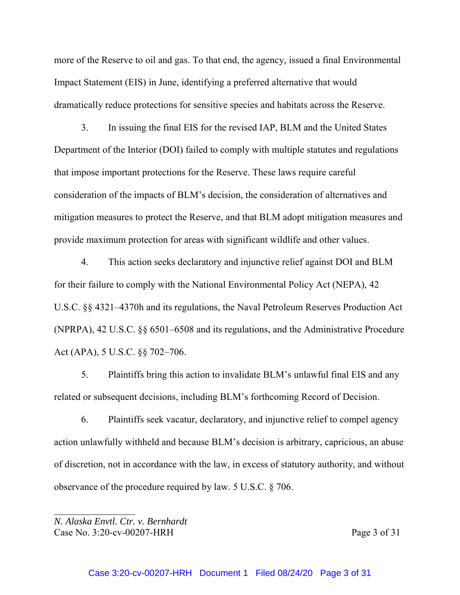more of the Reserve to oil and gas. To that end, the agency, issued a final Environmental Impact Statement (EIS) in June, identifying a preferred alternative that would dramatically reduce protections for sensitive species and habitats across the Reserve.

3. In issuing the final EIS for the revised IAP, BLM and the United States Department of the Interior (DOI) failed to comply with multiple statutes and regulations that impose important protections for the Reserve. These laws require careful consideration of the impacts of BLM's decision, the consideration of alternatives and mitigation measures to protect the Reserve, and that BLM adopt mitigation measures and provide maximum protection for areas with significant wildlife and other values.

4. This action seeks declaratory and injunctive relief against DOI and BLM for their failure to comply with the National Environmental Policy Act (NEPA), 42 U.S.C. §§ 4321–4370h and its regulations, the Naval Petroleum Reserves Production Act (NPRPA), 42 U.S.C. §§ 6501–6508 and its regulations, and the Administrative Procedure Act (APA), 5 U.S.C. §§ 702–706.

5. Plaintiffs bring this action to invalidate BLM's unlawful final EIS and any related or subsequent decisions, including BLM's forthcoming Record of Decision.

6. Plaintiffs seek vacatur, declaratory, and injunctive relief to compel agency action unlawfully withheld and because BLM's decision is arbitrary, capricious, an abuse of discretion, not in accordance with the law, in excess of statutory authority, and without observance of the procedure required by law. 5 U.S.C. § 706.

*N. Alaska Envtl. Ctr. v. Bernhardt* Case No. 3:20-cv-00207-HRH Page 3 of 31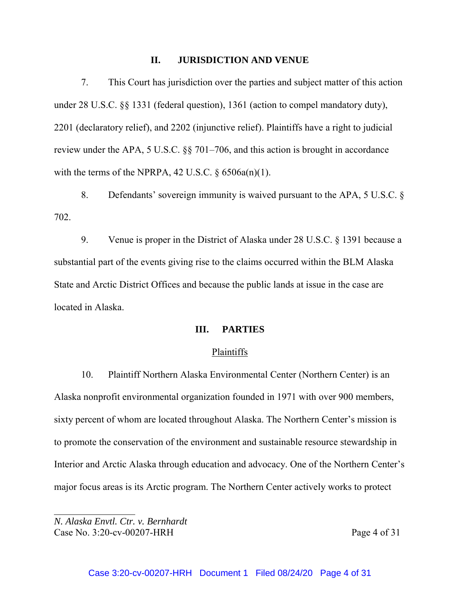### **II. JURISDICTION AND VENUE**

7. This Court has jurisdiction over the parties and subject matter of this action under 28 U.S.C. §§ 1331 (federal question), 1361 (action to compel mandatory duty), 2201 (declaratory relief), and 2202 (injunctive relief). Plaintiffs have a right to judicial review under the APA, 5 U.S.C. §§ 701–706, and this action is brought in accordance with the terms of the NPRPA, 42 U.S.C.  $\S$  6506a(n)(1).

8. Defendants' sovereign immunity is waived pursuant to the APA, 5 U.S.C. § 702.

9. Venue is proper in the District of Alaska under 28 U.S.C. § 1391 because a substantial part of the events giving rise to the claims occurred within the BLM Alaska State and Arctic District Offices and because the public lands at issue in the case are located in Alaska.

### **III. PARTIES**

#### Plaintiffs

10. Plaintiff Northern Alaska Environmental Center (Northern Center) is an Alaska nonprofit environmental organization founded in 1971 with over 900 members, sixty percent of whom are located throughout Alaska. The Northern Center's mission is to promote the conservation of the environment and sustainable resource stewardship in Interior and Arctic Alaska through education and advocacy. One of the Northern Center's major focus areas is its Arctic program. The Northern Center actively works to protect

*N. Alaska Envtl. Ctr. v. Bernhardt* Case No. 3:20-cv-00207-HRH Page 4 of 31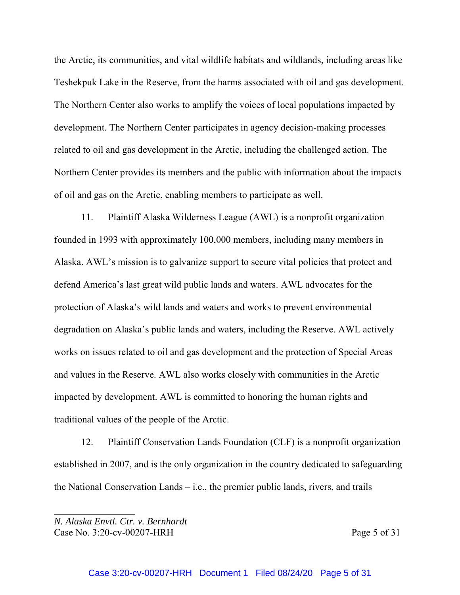the Arctic, its communities, and vital wildlife habitats and wildlands, including areas like Teshekpuk Lake in the Reserve, from the harms associated with oil and gas development. The Northern Center also works to amplify the voices of local populations impacted by development. The Northern Center participates in agency decision-making processes related to oil and gas development in the Arctic, including the challenged action. The Northern Center provides its members and the public with information about the impacts of oil and gas on the Arctic, enabling members to participate as well.

11. Plaintiff Alaska Wilderness League (AWL) is a nonprofit organization founded in 1993 with approximately 100,000 members, including many members in Alaska. AWL's mission is to galvanize support to secure vital policies that protect and defend America's last great wild public lands and waters. AWL advocates for the protection of Alaska's wild lands and waters and works to prevent environmental degradation on Alaska's public lands and waters, including the Reserve. AWL actively works on issues related to oil and gas development and the protection of Special Areas and values in the Reserve. AWL also works closely with communities in the Arctic impacted by development. AWL is committed to honoring the human rights and traditional values of the people of the Arctic.

12. Plaintiff Conservation Lands Foundation (CLF) is a nonprofit organization established in 2007, and is the only organization in the country dedicated to safeguarding the National Conservation Lands – i.e., the premier public lands, rivers, and trails

*N. Alaska Envtl. Ctr. v. Bernhardt* Case No. 3:20-cv-00207-HRH Page 5 of 31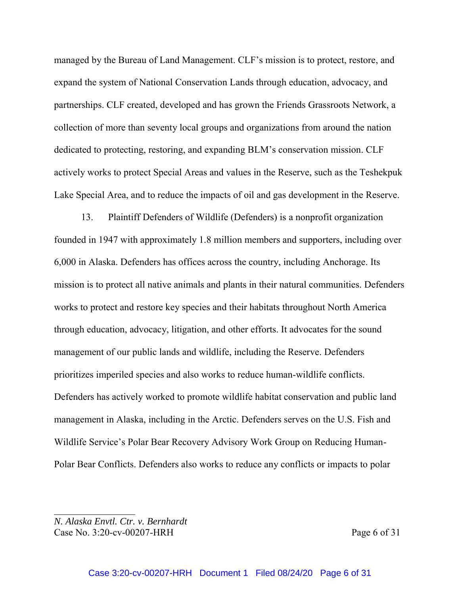managed by the Bureau of Land Management. CLF's mission is to protect, restore, and expand the system of National Conservation Lands through education, advocacy, and partnerships. CLF created, developed and has grown the Friends Grassroots Network, a collection of more than seventy local groups and organizations from around the nation dedicated to protecting, restoring, and expanding BLM's conservation mission. CLF actively works to protect Special Areas and values in the Reserve, such as the Teshekpuk Lake Special Area, and to reduce the impacts of oil and gas development in the Reserve.

13. Plaintiff Defenders of Wildlife (Defenders) is a nonprofit organization founded in 1947 with approximately 1.8 million members and supporters, including over 6,000 in Alaska. Defenders has offices across the country, including Anchorage. Its mission is to protect all native animals and plants in their natural communities. Defenders works to protect and restore key species and their habitats throughout North America through education, advocacy, litigation, and other efforts. It advocates for the sound management of our public lands and wildlife, including the Reserve. Defenders prioritizes imperiled species and also works to reduce human-wildlife conflicts. Defenders has actively worked to promote wildlife habitat conservation and public land management in Alaska, including in the Arctic. Defenders serves on the U.S. Fish and Wildlife Service's Polar Bear Recovery Advisory Work Group on Reducing Human-Polar Bear Conflicts. Defenders also works to reduce any conflicts or impacts to polar

*N. Alaska Envtl. Ctr. v. Bernhardt* Case No. 3:20-cv-00207-HRH Page 6 of 31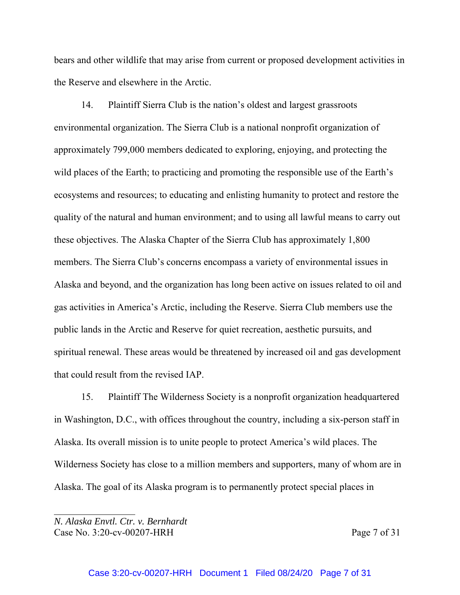bears and other wildlife that may arise from current or proposed development activities in the Reserve and elsewhere in the Arctic.

14. Plaintiff Sierra Club is the nation's oldest and largest grassroots environmental organization. The Sierra Club is a national nonprofit organization of approximately 799,000 members dedicated to exploring, enjoying, and protecting the wild places of the Earth; to practicing and promoting the responsible use of the Earth's ecosystems and resources; to educating and enlisting humanity to protect and restore the quality of the natural and human environment; and to using all lawful means to carry out these objectives. The Alaska Chapter of the Sierra Club has approximately 1,800 members. The Sierra Club's concerns encompass a variety of environmental issues in Alaska and beyond, and the organization has long been active on issues related to oil and gas activities in America's Arctic, including the Reserve. Sierra Club members use the public lands in the Arctic and Reserve for quiet recreation, aesthetic pursuits, and spiritual renewal. These areas would be threatened by increased oil and gas development that could result from the revised IAP.

15. Plaintiff The Wilderness Society is a nonprofit organization headquartered in Washington, D.C., with offices throughout the country, including a six-person staff in Alaska. Its overall mission is to unite people to protect America's wild places. The Wilderness Society has close to a million members and supporters, many of whom are in Alaska. The goal of its Alaska program is to permanently protect special places in

*N. Alaska Envtl. Ctr. v. Bernhardt* Case No. 3:20-cv-00207-HRH Page 7 of 31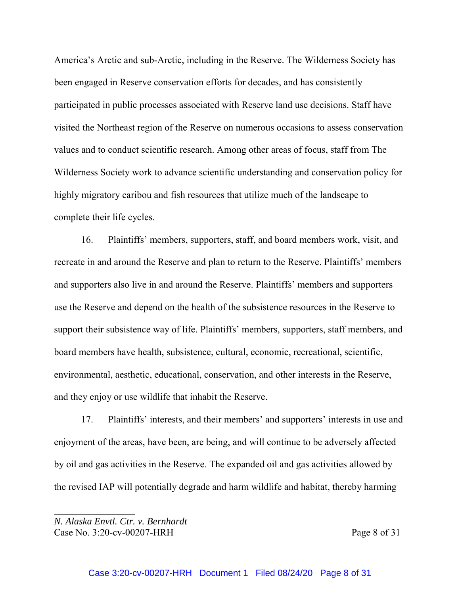America's Arctic and sub-Arctic, including in the Reserve. The Wilderness Society has been engaged in Reserve conservation efforts for decades, and has consistently participated in public processes associated with Reserve land use decisions. Staff have visited the Northeast region of the Reserve on numerous occasions to assess conservation values and to conduct scientific research. Among other areas of focus, staff from The Wilderness Society work to advance scientific understanding and conservation policy for highly migratory caribou and fish resources that utilize much of the landscape to complete their life cycles.

16. Plaintiffs' members, supporters, staff, and board members work, visit, and recreate in and around the Reserve and plan to return to the Reserve. Plaintiffs' members and supporters also live in and around the Reserve. Plaintiffs' members and supporters use the Reserve and depend on the health of the subsistence resources in the Reserve to support their subsistence way of life. Plaintiffs' members, supporters, staff members, and board members have health, subsistence, cultural, economic, recreational, scientific, environmental, aesthetic, educational, conservation, and other interests in the Reserve, and they enjoy or use wildlife that inhabit the Reserve.

17. Plaintiffs' interests, and their members' and supporters' interests in use and enjoyment of the areas, have been, are being, and will continue to be adversely affected by oil and gas activities in the Reserve. The expanded oil and gas activities allowed by the revised IAP will potentially degrade and harm wildlife and habitat, thereby harming

*N. Alaska Envtl. Ctr. v. Bernhardt* Case No. 3:20-cv-00207-HRH Page 8 of 31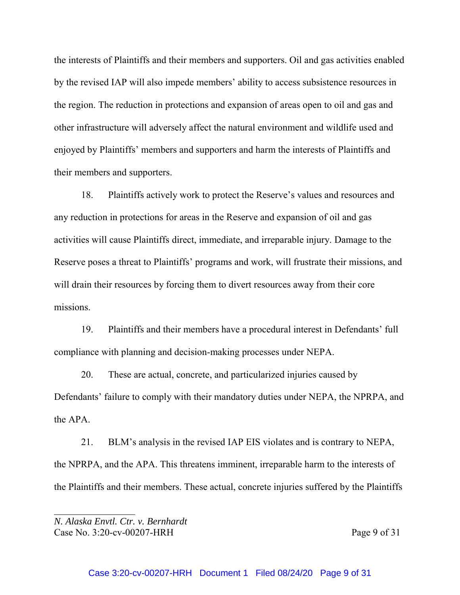the interests of Plaintiffs and their members and supporters. Oil and gas activities enabled by the revised IAP will also impede members' ability to access subsistence resources in the region. The reduction in protections and expansion of areas open to oil and gas and other infrastructure will adversely affect the natural environment and wildlife used and enjoyed by Plaintiffs' members and supporters and harm the interests of Plaintiffs and their members and supporters.

18. Plaintiffs actively work to protect the Reserve's values and resources and any reduction in protections for areas in the Reserve and expansion of oil and gas activities will cause Plaintiffs direct, immediate, and irreparable injury. Damage to the Reserve poses a threat to Plaintiffs' programs and work, will frustrate their missions, and will drain their resources by forcing them to divert resources away from their core missions.

19. Plaintiffs and their members have a procedural interest in Defendants' full compliance with planning and decision-making processes under NEPA.

20. These are actual, concrete, and particularized injuries caused by Defendants' failure to comply with their mandatory duties under NEPA, the NPRPA, and the APA.

21. BLM's analysis in the revised IAP EIS violates and is contrary to NEPA, the NPRPA, and the APA. This threatens imminent, irreparable harm to the interests of the Plaintiffs and their members. These actual, concrete injuries suffered by the Plaintiffs

*N. Alaska Envtl. Ctr. v. Bernhardt* Case No. 3:20-cv-00207-HRH Page 9 of 31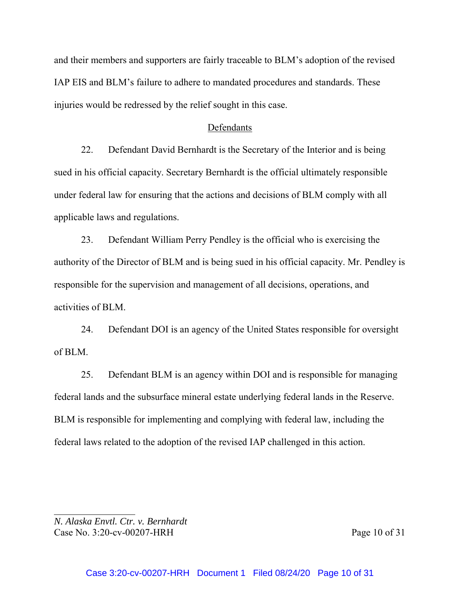and their members and supporters are fairly traceable to BLM's adoption of the revised IAP EIS and BLM's failure to adhere to mandated procedures and standards. These injuries would be redressed by the relief sought in this case.

### Defendants

22. Defendant David Bernhardt is the Secretary of the Interior and is being sued in his official capacity. Secretary Bernhardt is the official ultimately responsible under federal law for ensuring that the actions and decisions of BLM comply with all applicable laws and regulations.

23. Defendant William Perry Pendley is the official who is exercising the authority of the Director of BLM and is being sued in his official capacity. Mr. Pendley is responsible for the supervision and management of all decisions, operations, and activities of BLM.

24. Defendant DOI is an agency of the United States responsible for oversight of BLM.

25. Defendant BLM is an agency within DOI and is responsible for managing federal lands and the subsurface mineral estate underlying federal lands in the Reserve. BLM is responsible for implementing and complying with federal law, including the federal laws related to the adoption of the revised IAP challenged in this action.

*N. Alaska Envtl. Ctr. v. Bernhardt* Case No. 3:20-cv-00207-HRH Page 10 of 31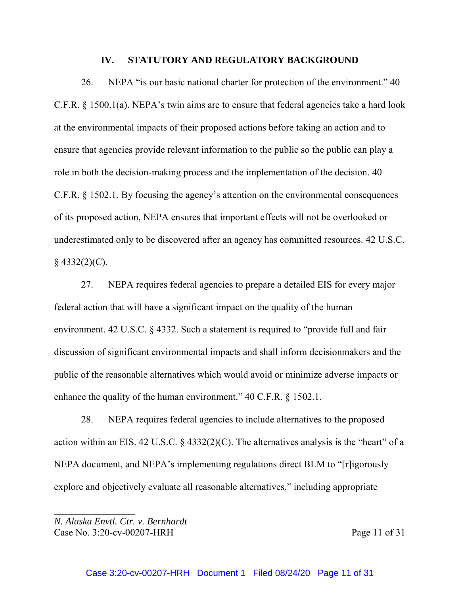#### **IV. STATUTORY AND REGULATORY BACKGROUND**

26. NEPA "is our basic national charter for protection of the environment." 40 C.F.R. § 1500.1(a). NEPA's twin aims are to ensure that federal agencies take a hard look at the environmental impacts of their proposed actions before taking an action and to ensure that agencies provide relevant information to the public so the public can play a role in both the decision-making process and the implementation of the decision. 40 C.F.R. § 1502.1. By focusing the agency's attention on the environmental consequences of its proposed action, NEPA ensures that important effects will not be overlooked or underestimated only to be discovered after an agency has committed resources. 42 U.S.C.  $§$  4332(2)(C).

27. NEPA requires federal agencies to prepare a detailed EIS for every major federal action that will have a significant impact on the quality of the human environment. 42 U.S.C. § 4332. Such a statement is required to "provide full and fair discussion of significant environmental impacts and shall inform decisionmakers and the public of the reasonable alternatives which would avoid or minimize adverse impacts or enhance the quality of the human environment." 40 C.F.R. § 1502.1.

28. NEPA requires federal agencies to include alternatives to the proposed action within an EIS. 42 U.S.C.  $\S$  4332(2)(C). The alternatives analysis is the "heart" of a NEPA document, and NEPA's implementing regulations direct BLM to "[r]igorously explore and objectively evaluate all reasonable alternatives," including appropriate

*N. Alaska Envtl. Ctr. v. Bernhardt* Case No. 3:20-cv-00207-HRH Page 11 of 31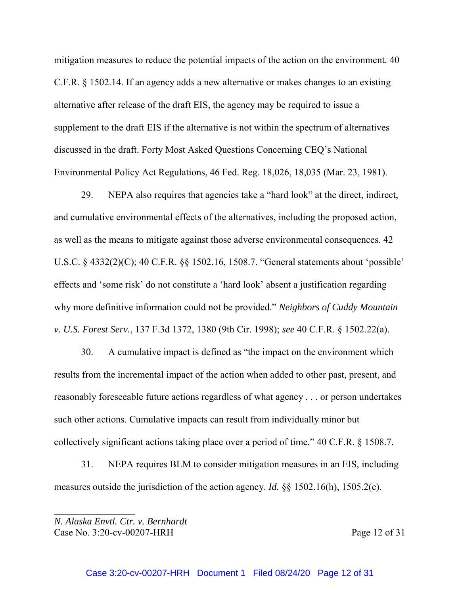mitigation measures to reduce the potential impacts of the action on the environment. 40 C.F.R. § 1502.14. If an agency adds a new alternative or makes changes to an existing alternative after release of the draft EIS, the agency may be required to issue a supplement to the draft EIS if the alternative is not within the spectrum of alternatives discussed in the draft. Forty Most Asked Questions Concerning CEQ's National Environmental Policy Act Regulations, 46 Fed. Reg. 18,026, 18,035 (Mar. 23, 1981).

29. NEPA also requires that agencies take a "hard look" at the direct, indirect, and cumulative environmental effects of the alternatives, including the proposed action, as well as the means to mitigate against those adverse environmental consequences. 42 U.S.C. § 4332(2)(C); 40 C.F.R. §§ 1502.16, 1508.7. "General statements about 'possible' effects and 'some risk' do not constitute a 'hard look' absent a justification regarding why more definitive information could not be provided." *Neighbors of Cuddy Mountain v. U.S. Forest Serv.*, 137 F.3d 1372, 1380 (9th Cir. 1998); *see* 40 C.F.R. § 1502.22(a).

30. A cumulative impact is defined as "the impact on the environment which results from the incremental impact of the action when added to other past, present, and reasonably foreseeable future actions regardless of what agency . . . or person undertakes such other actions. Cumulative impacts can result from individually minor but collectively significant actions taking place over a period of time." 40 C.F.R. § 1508.7.

31. NEPA requires BLM to consider mitigation measures in an EIS, including measures outside the jurisdiction of the action agency. *Id.* §§ 1502.16(h), 1505.2(c).

*N. Alaska Envtl. Ctr. v. Bernhardt* Case No. 3:20-cv-00207-HRH Page 12 of 31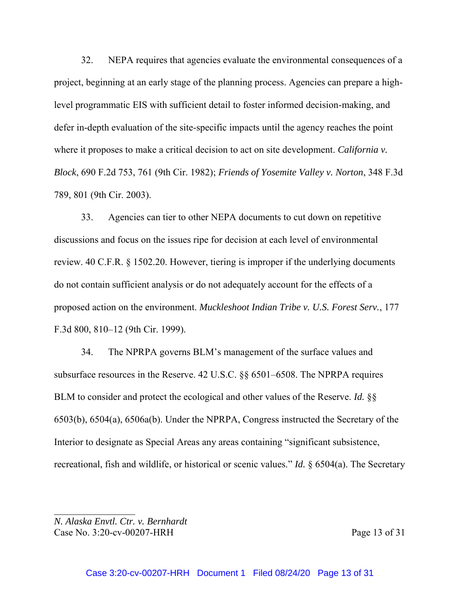32. NEPA requires that agencies evaluate the environmental consequences of a project, beginning at an early stage of the planning process. Agencies can prepare a highlevel programmatic EIS with sufficient detail to foster informed decision-making, and defer in-depth evaluation of the site-specific impacts until the agency reaches the point where it proposes to make a critical decision to act on site development. *California v. Block*, 690 F.2d 753, 761 (9th Cir. 1982); *Friends of Yosemite Valley v. Norton*, 348 F.3d 789, 801 (9th Cir. 2003).

33. Agencies can tier to other NEPA documents to cut down on repetitive discussions and focus on the issues ripe for decision at each level of environmental review. 40 C.F.R. § 1502.20. However, tiering is improper if the underlying documents do not contain sufficient analysis or do not adequately account for the effects of a proposed action on the environment. *Muckleshoot Indian Tribe v. U.S. Forest Serv.*, 177 F.3d 800, 810–12 (9th Cir. 1999).

34. The NPRPA governs BLM's management of the surface values and subsurface resources in the Reserve. 42 U.S.C. §§ 6501–6508. The NPRPA requires BLM to consider and protect the ecological and other values of the Reserve. *Id.* §§ 6503(b), 6504(a), 6506a(b). Under the NPRPA, Congress instructed the Secretary of the Interior to designate as Special Areas any areas containing "significant subsistence, recreational, fish and wildlife, or historical or scenic values." *Id.* § 6504(a). The Secretary

*N. Alaska Envtl. Ctr. v. Bernhardt* Case No. 3:20-cv-00207-HRH Page 13 of 31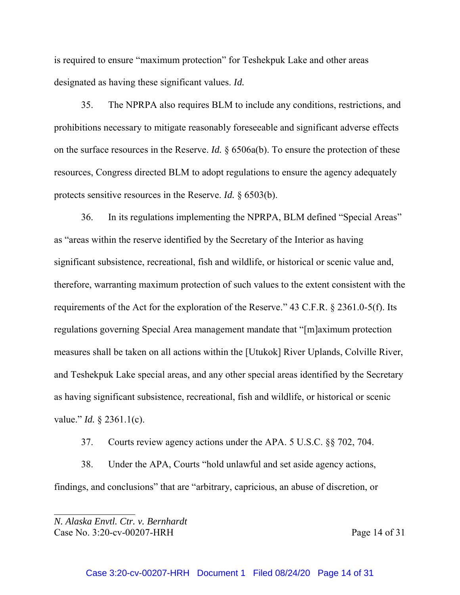is required to ensure "maximum protection" for Teshekpuk Lake and other areas designated as having these significant values. *Id.*

35. The NPRPA also requires BLM to include any conditions, restrictions, and prohibitions necessary to mitigate reasonably foreseeable and significant adverse effects on the surface resources in the Reserve. *Id.* § 6506a(b). To ensure the protection of these resources, Congress directed BLM to adopt regulations to ensure the agency adequately protects sensitive resources in the Reserve. *Id.* § 6503(b).

36. In its regulations implementing the NPRPA, BLM defined "Special Areas" as "areas within the reserve identified by the Secretary of the Interior as having significant subsistence, recreational, fish and wildlife, or historical or scenic value and, therefore, warranting maximum protection of such values to the extent consistent with the requirements of the Act for the exploration of the Reserve." 43 C.F.R. § 2361.0-5(f). Its regulations governing Special Area management mandate that "[m]aximum protection measures shall be taken on all actions within the [Utukok] River Uplands, Colville River, and Teshekpuk Lake special areas, and any other special areas identified by the Secretary as having significant subsistence, recreational, fish and wildlife, or historical or scenic value." *Id.* § 2361.1(c).

37. Courts review agency actions under the APA. 5 U.S.C. §§ 702, 704.

38. Under the APA, Courts "hold unlawful and set aside agency actions, findings, and conclusions" that are "arbitrary, capricious, an abuse of discretion, or

*N. Alaska Envtl. Ctr. v. Bernhardt* Case No. 3:20-cv-00207-HRH Page 14 of 31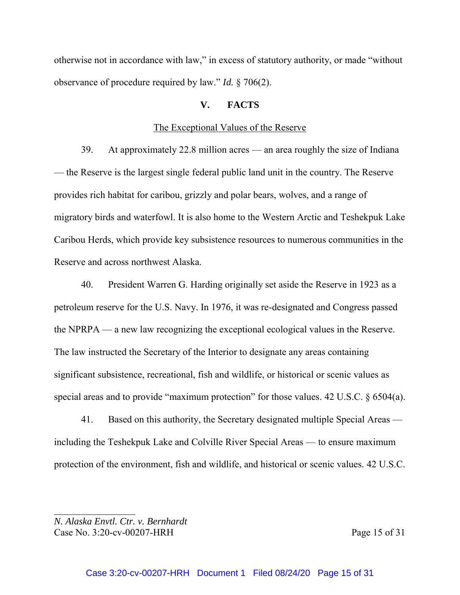otherwise not in accordance with law," in excess of statutory authority, or made "without observance of procedure required by law." *Id.* § 706(2).

### **V. FACTS**

#### The Exceptional Values of the Reserve

39. At approximately 22.8 million acres — an area roughly the size of Indiana — the Reserve is the largest single federal public land unit in the country. The Reserve provides rich habitat for caribou, grizzly and polar bears, wolves, and a range of migratory birds and waterfowl. It is also home to the Western Arctic and Teshekpuk Lake Caribou Herds, which provide key subsistence resources to numerous communities in the Reserve and across northwest Alaska.

40. President Warren G. Harding originally set aside the Reserve in 1923 as a petroleum reserve for the U.S. Navy. In 1976, it was re-designated and Congress passed the NPRPA — a new law recognizing the exceptional ecological values in the Reserve. The law instructed the Secretary of the Interior to designate any areas containing significant subsistence, recreational, fish and wildlife, or historical or scenic values as special areas and to provide "maximum protection" for those values. 42 U.S.C. § 6504(a).

41. Based on this authority, the Secretary designated multiple Special Areas including the Teshekpuk Lake and Colville River Special Areas — to ensure maximum protection of the environment, fish and wildlife, and historical or scenic values. 42 U.S.C.

*N. Alaska Envtl. Ctr. v. Bernhardt* Case No. 3:20-cv-00207-HRH Page 15 of 31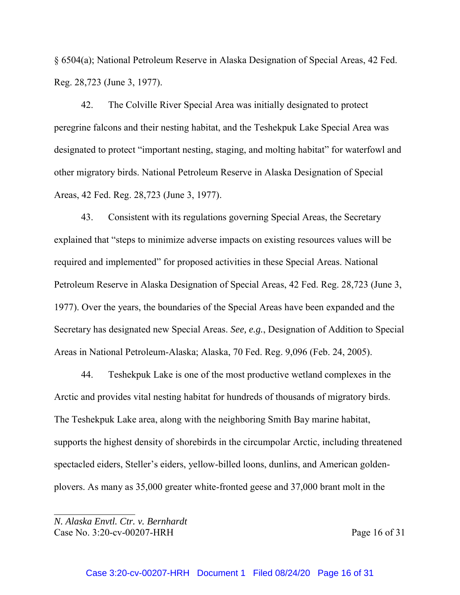§ 6504(a); National Petroleum Reserve in Alaska Designation of Special Areas, 42 Fed. Reg. 28,723 (June 3, 1977).

42. The Colville River Special Area was initially designated to protect peregrine falcons and their nesting habitat, and the Teshekpuk Lake Special Area was designated to protect "important nesting, staging, and molting habitat" for waterfowl and other migratory birds. National Petroleum Reserve in Alaska Designation of Special Areas, 42 Fed. Reg. 28,723 (June 3, 1977).

43. Consistent with its regulations governing Special Areas, the Secretary explained that "steps to minimize adverse impacts on existing resources values will be required and implemented" for proposed activities in these Special Areas. National Petroleum Reserve in Alaska Designation of Special Areas, 42 Fed. Reg. 28,723 (June 3, 1977). Over the years, the boundaries of the Special Areas have been expanded and the Secretary has designated new Special Areas. *See, e.g.*, Designation of Addition to Special Areas in National Petroleum-Alaska; Alaska, 70 Fed. Reg. 9,096 (Feb. 24, 2005).

44. Teshekpuk Lake is one of the most productive wetland complexes in the Arctic and provides vital nesting habitat for hundreds of thousands of migratory birds. The Teshekpuk Lake area, along with the neighboring Smith Bay marine habitat, supports the highest density of shorebirds in the circumpolar Arctic, including threatened spectacled eiders, Steller's eiders, yellow-billed loons, dunlins, and American goldenplovers. As many as 35,000 greater white-fronted geese and 37,000 brant molt in the

*N. Alaska Envtl. Ctr. v. Bernhardt* Case No. 3:20-cv-00207-HRH Page 16 of 31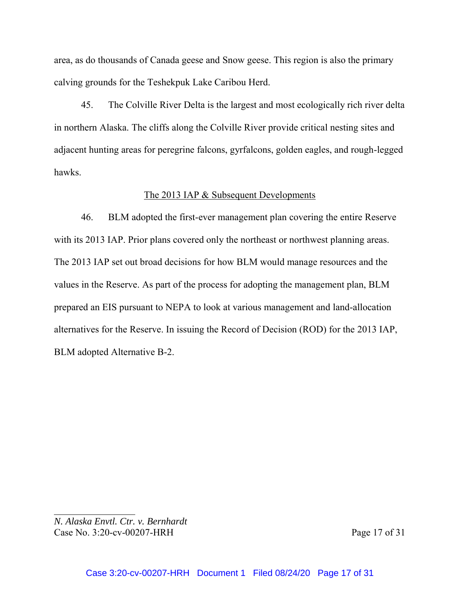area, as do thousands of Canada geese and Snow geese. This region is also the primary calving grounds for the Teshekpuk Lake Caribou Herd.

45. The Colville River Delta is the largest and most ecologically rich river delta in northern Alaska. The cliffs along the Colville River provide critical nesting sites and adjacent hunting areas for peregrine falcons, gyrfalcons, golden eagles, and rough-legged hawks.

# The 2013 IAP & Subsequent Developments

46. BLM adopted the first-ever management plan covering the entire Reserve with its 2013 IAP. Prior plans covered only the northeast or northwest planning areas. The 2013 IAP set out broad decisions for how BLM would manage resources and the values in the Reserve. As part of the process for adopting the management plan, BLM prepared an EIS pursuant to NEPA to look at various management and land-allocation alternatives for the Reserve. In issuing the Record of Decision (ROD) for the 2013 IAP, BLM adopted Alternative B-2.

*N. Alaska Envtl. Ctr. v. Bernhardt* Case No. 3:20-cv-00207-HRH Page 17 of 31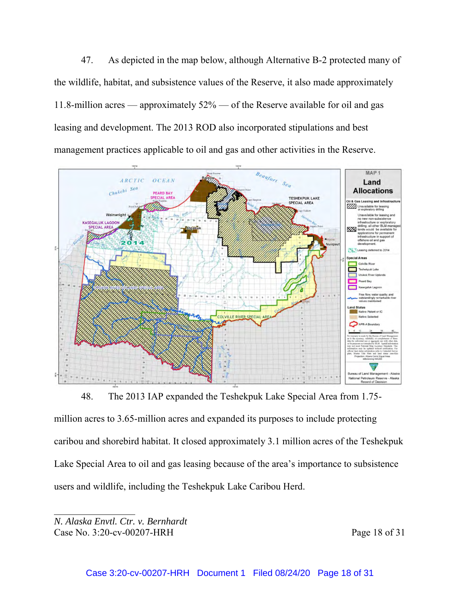47. As depicted in the map below, although Alternative B-2 protected many of the wildlife, habitat, and subsistence values of the Reserve, it also made approximately 11.8-million acres — approximately 52% — of the Reserve available for oil and gas leasing and development. The 2013 ROD also incorporated stipulations and best management practices applicable to oil and gas and other activities in the Reserve.



48. The 2013 IAP expanded the Teshekpuk Lake Special Area from 1.75 million acres to 3.65-million acres and expanded its purposes to include protecting caribou and shorebird habitat. It closed approximately 3.1 million acres of the Teshekpuk Lake Special Area to oil and gas leasing because of the area's importance to subsistence users and wildlife, including the Teshekpuk Lake Caribou Herd.

*N. Alaska Envtl. Ctr. v. Bernhardt* Case No. 3:20-cv-00207-HRH Page 18 of 31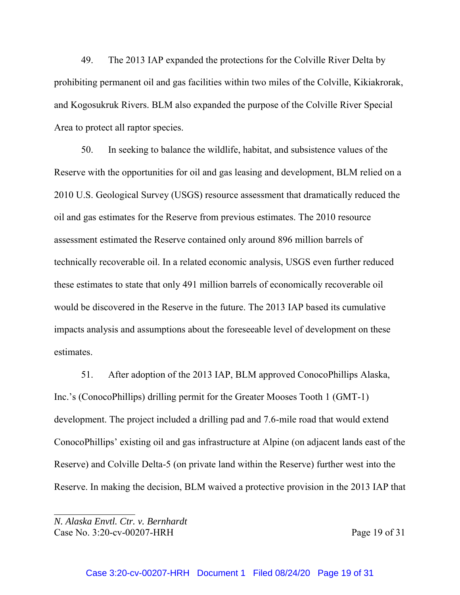49. The 2013 IAP expanded the protections for the Colville River Delta by prohibiting permanent oil and gas facilities within two miles of the Colville, Kikiakrorak, and Kogosukruk Rivers. BLM also expanded the purpose of the Colville River Special Area to protect all raptor species.

50. In seeking to balance the wildlife, habitat, and subsistence values of the Reserve with the opportunities for oil and gas leasing and development, BLM relied on a 2010 U.S. Geological Survey (USGS) resource assessment that dramatically reduced the oil and gas estimates for the Reserve from previous estimates. The 2010 resource assessment estimated the Reserve contained only around 896 million barrels of technically recoverable oil. In a related economic analysis, USGS even further reduced these estimates to state that only 491 million barrels of economically recoverable oil would be discovered in the Reserve in the future. The 2013 IAP based its cumulative impacts analysis and assumptions about the foreseeable level of development on these estimates.

51. After adoption of the 2013 IAP, BLM approved ConocoPhillips Alaska, Inc.'s (ConocoPhillips) drilling permit for the Greater Mooses Tooth 1 (GMT-1) development. The project included a drilling pad and 7.6-mile road that would extend ConocoPhillips' existing oil and gas infrastructure at Alpine (on adjacent lands east of the Reserve) and Colville Delta-5 (on private land within the Reserve) further west into the Reserve. In making the decision, BLM waived a protective provision in the 2013 IAP that

*N. Alaska Envtl. Ctr. v. Bernhardt* Case No. 3:20-cv-00207-HRH Page 19 of 31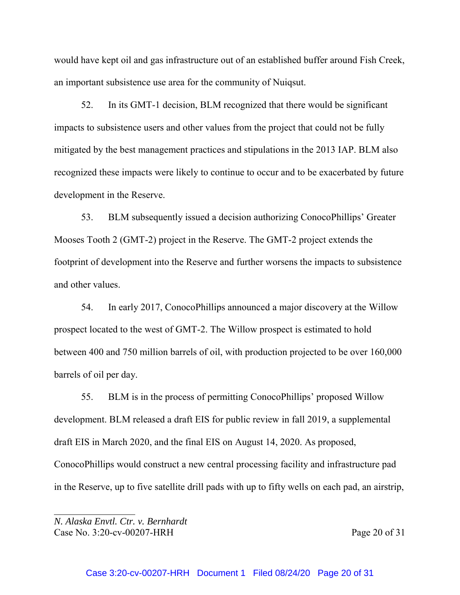would have kept oil and gas infrastructure out of an established buffer around Fish Creek, an important subsistence use area for the community of Nuiqsut.

52. In its GMT-1 decision, BLM recognized that there would be significant impacts to subsistence users and other values from the project that could not be fully mitigated by the best management practices and stipulations in the 2013 IAP. BLM also recognized these impacts were likely to continue to occur and to be exacerbated by future development in the Reserve.

53. BLM subsequently issued a decision authorizing ConocoPhillips' Greater Mooses Tooth 2 (GMT-2) project in the Reserve. The GMT-2 project extends the footprint of development into the Reserve and further worsens the impacts to subsistence and other values.

54. In early 2017, ConocoPhillips announced a major discovery at the Willow prospect located to the west of GMT-2. The Willow prospect is estimated to hold between 400 and 750 million barrels of oil, with production projected to be over 160,000 barrels of oil per day.

55. BLM is in the process of permitting ConocoPhillips' proposed Willow development. BLM released a draft EIS for public review in fall 2019, a supplemental draft EIS in March 2020, and the final EIS on August 14, 2020. As proposed, ConocoPhillips would construct a new central processing facility and infrastructure pad in the Reserve, up to five satellite drill pads with up to fifty wells on each pad, an airstrip,

*N. Alaska Envtl. Ctr. v. Bernhardt* Case No. 3:20-cv-00207-HRH Page 20 of 31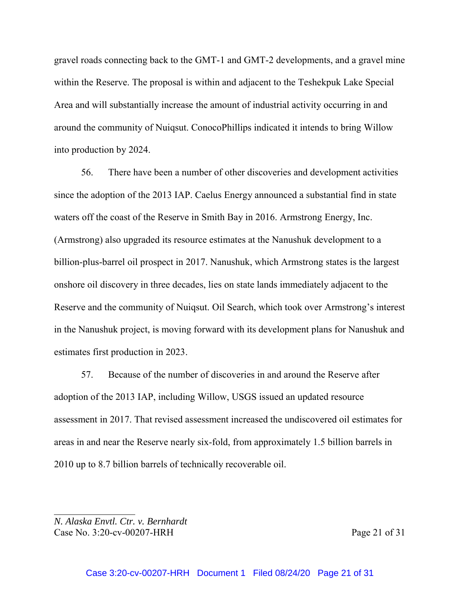gravel roads connecting back to the GMT-1 and GMT-2 developments, and a gravel mine within the Reserve. The proposal is within and adjacent to the Teshekpuk Lake Special Area and will substantially increase the amount of industrial activity occurring in and around the community of Nuiqsut. ConocoPhillips indicated it intends to bring Willow into production by 2024.

56. There have been a number of other discoveries and development activities since the adoption of the 2013 IAP. Caelus Energy announced a substantial find in state waters off the coast of the Reserve in Smith Bay in 2016. Armstrong Energy, Inc. (Armstrong) also upgraded its resource estimates at the Nanushuk development to a billion-plus-barrel oil prospect in 2017. Nanushuk, which Armstrong states is the largest onshore oil discovery in three decades, lies on state lands immediately adjacent to the Reserve and the community of Nuiqsut. Oil Search, which took over Armstrong's interest in the Nanushuk project, is moving forward with its development plans for Nanushuk and estimates first production in 2023.

57. Because of the number of discoveries in and around the Reserve after adoption of the 2013 IAP, including Willow, USGS issued an updated resource assessment in 2017. That revised assessment increased the undiscovered oil estimates for areas in and near the Reserve nearly six-fold, from approximately 1.5 billion barrels in 2010 up to 8.7 billion barrels of technically recoverable oil.

*N. Alaska Envtl. Ctr. v. Bernhardt* Case No. 3:20-cv-00207-HRH Page 21 of 31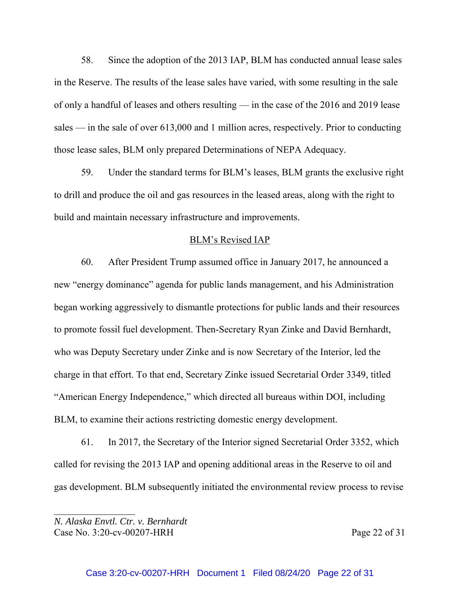58. Since the adoption of the 2013 IAP, BLM has conducted annual lease sales in the Reserve. The results of the lease sales have varied, with some resulting in the sale of only a handful of leases and others resulting — in the case of the 2016 and 2019 lease sales — in the sale of over 613,000 and 1 million acres, respectively. Prior to conducting those lease sales, BLM only prepared Determinations of NEPA Adequacy.

59. Under the standard terms for BLM's leases, BLM grants the exclusive right to drill and produce the oil and gas resources in the leased areas, along with the right to build and maintain necessary infrastructure and improvements.

#### BLM's Revised IAP

60. After President Trump assumed office in January 2017, he announced a new "energy dominance" agenda for public lands management, and his Administration began working aggressively to dismantle protections for public lands and their resources to promote fossil fuel development. Then-Secretary Ryan Zinke and David Bernhardt, who was Deputy Secretary under Zinke and is now Secretary of the Interior, led the charge in that effort. To that end, Secretary Zinke issued Secretarial Order 3349, titled "American Energy Independence," which directed all bureaus within DOI, including BLM, to examine their actions restricting domestic energy development.

61. In 2017, the Secretary of the Interior signed Secretarial Order 3352, which called for revising the 2013 IAP and opening additional areas in the Reserve to oil and gas development. BLM subsequently initiated the environmental review process to revise

*N. Alaska Envtl. Ctr. v. Bernhardt* Case No. 3:20-cv-00207-HRH Page 22 of 31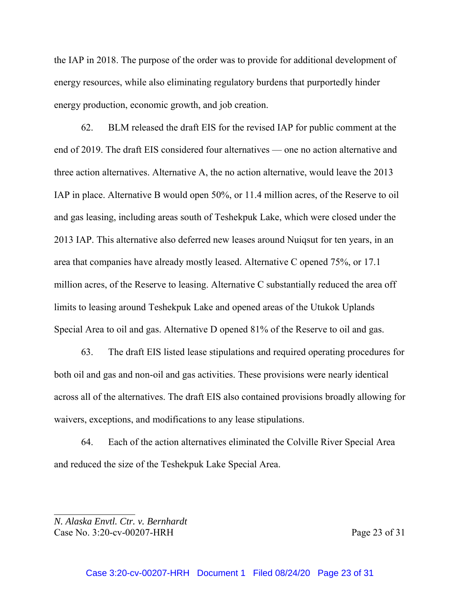the IAP in 2018. The purpose of the order was to provide for additional development of energy resources, while also eliminating regulatory burdens that purportedly hinder energy production, economic growth, and job creation.

62. BLM released the draft EIS for the revised IAP for public comment at the end of 2019. The draft EIS considered four alternatives — one no action alternative and three action alternatives. Alternative A, the no action alternative, would leave the 2013 IAP in place. Alternative B would open 50%, or 11.4 million acres, of the Reserve to oil and gas leasing, including areas south of Teshekpuk Lake, which were closed under the 2013 IAP. This alternative also deferred new leases around Nuiqsut for ten years, in an area that companies have already mostly leased. Alternative C opened 75%, or 17.1 million acres, of the Reserve to leasing. Alternative C substantially reduced the area off limits to leasing around Teshekpuk Lake and opened areas of the Utukok Uplands Special Area to oil and gas. Alternative D opened 81% of the Reserve to oil and gas.

63. The draft EIS listed lease stipulations and required operating procedures for both oil and gas and non-oil and gas activities. These provisions were nearly identical across all of the alternatives. The draft EIS also contained provisions broadly allowing for waivers, exceptions, and modifications to any lease stipulations.

64. Each of the action alternatives eliminated the Colville River Special Area and reduced the size of the Teshekpuk Lake Special Area.

*N. Alaska Envtl. Ctr. v. Bernhardt* Case No. 3:20-cv-00207-HRH Page 23 of 31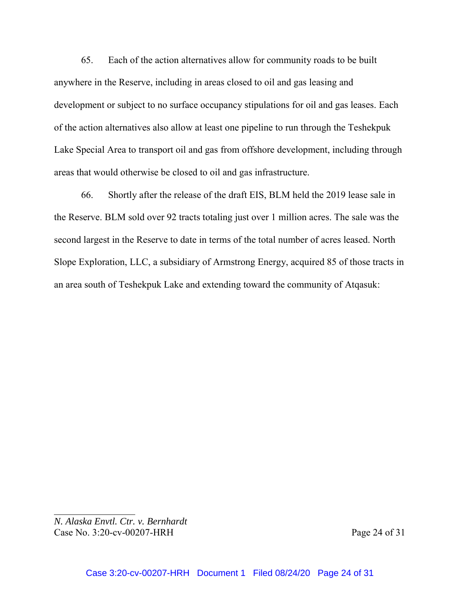65. Each of the action alternatives allow for community roads to be built anywhere in the Reserve, including in areas closed to oil and gas leasing and development or subject to no surface occupancy stipulations for oil and gas leases. Each of the action alternatives also allow at least one pipeline to run through the Teshekpuk Lake Special Area to transport oil and gas from offshore development, including through areas that would otherwise be closed to oil and gas infrastructure.

66. Shortly after the release of the draft EIS, BLM held the 2019 lease sale in the Reserve. BLM sold over 92 tracts totaling just over 1 million acres. The sale was the second largest in the Reserve to date in terms of the total number of acres leased. North Slope Exploration, LLC, a subsidiary of Armstrong Energy, acquired 85 of those tracts in an area south of Teshekpuk Lake and extending toward the community of Atqasuk:

*N. Alaska Envtl. Ctr. v. Bernhardt* Case No. 3:20-cv-00207-HRH Page 24 of 31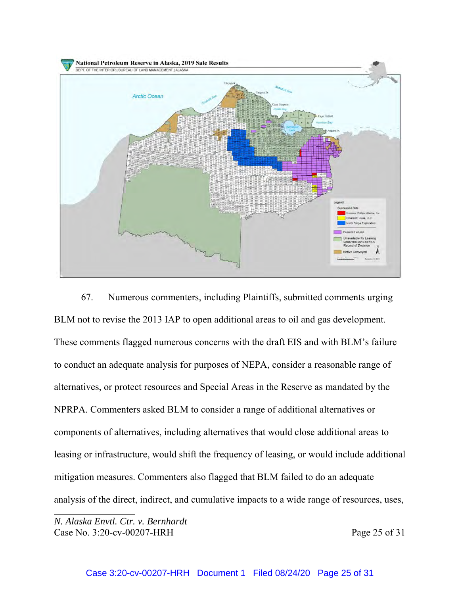

67. Numerous commenters, including Plaintiffs, submitted comments urging BLM not to revise the 2013 IAP to open additional areas to oil and gas development. These comments flagged numerous concerns with the draft EIS and with BLM's failure to conduct an adequate analysis for purposes of NEPA, consider a reasonable range of alternatives, or protect resources and Special Areas in the Reserve as mandated by the NPRPA. Commenters asked BLM to consider a range of additional alternatives or components of alternatives, including alternatives that would close additional areas to leasing or infrastructure, would shift the frequency of leasing, or would include additional mitigation measures. Commenters also flagged that BLM failed to do an adequate analysis of the direct, indirect, and cumulative impacts to a wide range of resources, uses,

*N. Alaska Envtl. Ctr. v. Bernhardt* Case No. 3:20-cv-00207-HRH Page 25 of 31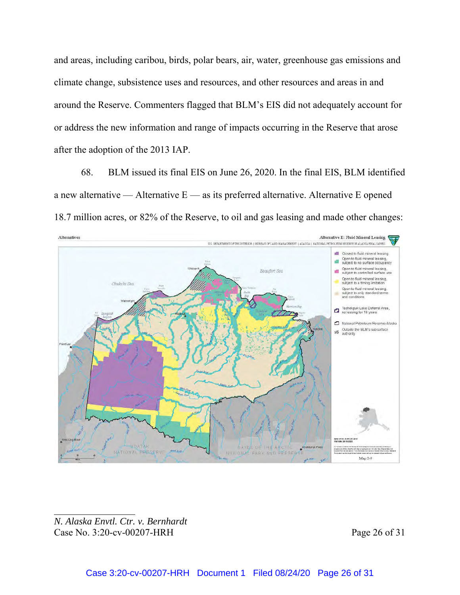and areas, including caribou, birds, polar bears, air, water, greenhouse gas emissions and climate change, subsistence uses and resources, and other resources and areas in and around the Reserve. Commenters flagged that BLM's EIS did not adequately account for or address the new information and range of impacts occurring in the Reserve that arose after the adoption of the 2013 IAP.

68. BLM issued its final EIS on June 26, 2020. In the final EIS, BLM identified a new alternative — Alternative  $E$  — as its preferred alternative. Alternative E opened 18.7 million acres, or 82% of the Reserve, to oil and gas leasing and made other changes:



*N. Alaska Envtl. Ctr. v. Bernhardt* Case No. 3:20-cv-00207-HRH Page 26 of 31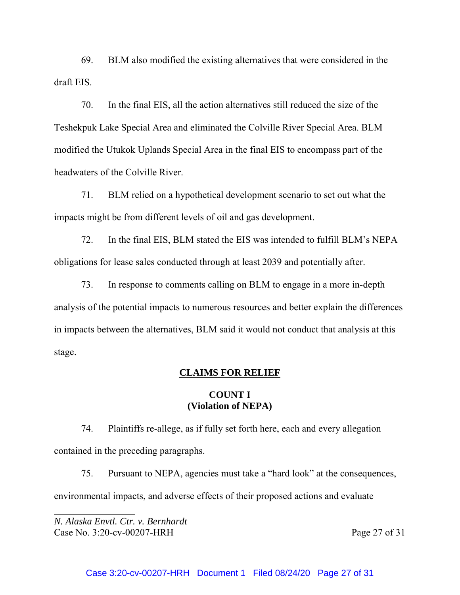69. BLM also modified the existing alternatives that were considered in the draft EIS.

70. In the final EIS, all the action alternatives still reduced the size of the Teshekpuk Lake Special Area and eliminated the Colville River Special Area. BLM modified the Utukok Uplands Special Area in the final EIS to encompass part of the headwaters of the Colville River.

71. BLM relied on a hypothetical development scenario to set out what the impacts might be from different levels of oil and gas development.

72. In the final EIS, BLM stated the EIS was intended to fulfill BLM's NEPA obligations for lease sales conducted through at least 2039 and potentially after.

73. In response to comments calling on BLM to engage in a more in-depth analysis of the potential impacts to numerous resources and better explain the differences in impacts between the alternatives, BLM said it would not conduct that analysis at this stage.

#### **CLAIMS FOR RELIEF**

# **COUNT I (Violation of NEPA)**

74. Plaintiffs re-allege, as if fully set forth here, each and every allegation contained in the preceding paragraphs.

75. Pursuant to NEPA, agencies must take a "hard look" at the consequences, environmental impacts, and adverse effects of their proposed actions and evaluate

*N. Alaska Envtl. Ctr. v. Bernhardt* Case No. 3:20-cv-00207-HRH Page 27 of 31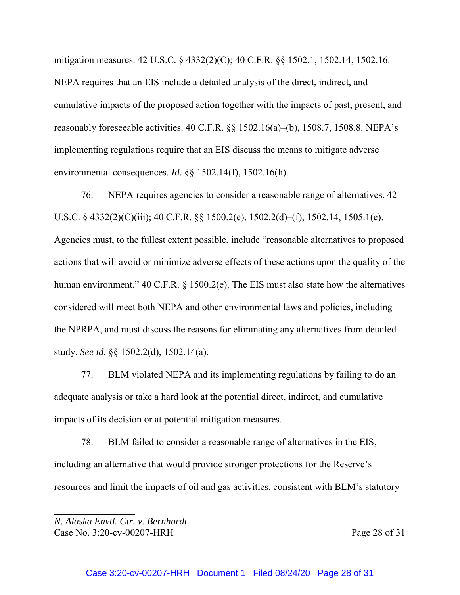mitigation measures. 42 U.S.C. § 4332(2)(C); 40 C.F.R. §§ 1502.1, 1502.14, 1502.16. NEPA requires that an EIS include a detailed analysis of the direct, indirect, and cumulative impacts of the proposed action together with the impacts of past, present, and reasonably foreseeable activities. 40 C.F.R. §§ 1502.16(a)–(b), 1508.7, 1508.8. NEPA's implementing regulations require that an EIS discuss the means to mitigate adverse environmental consequences. *Id.* §§ 1502.14(f), 1502.16(h).

76. NEPA requires agencies to consider a reasonable range of alternatives. 42 U.S.C. § 4332(2)(C)(iii); 40 C.F.R. §§ 1500.2(e), 1502.2(d)–(f), 1502.14, 1505.1(e). Agencies must, to the fullest extent possible, include "reasonable alternatives to proposed actions that will avoid or minimize adverse effects of these actions upon the quality of the human environment." 40 C.F.R. § 1500.2(e). The EIS must also state how the alternatives considered will meet both NEPA and other environmental laws and policies, including the NPRPA, and must discuss the reasons for eliminating any alternatives from detailed study. *See id.* §§ 1502.2(d), 1502.14(a).

77. BLM violated NEPA and its implementing regulations by failing to do an adequate analysis or take a hard look at the potential direct, indirect, and cumulative impacts of its decision or at potential mitigation measures.

78. BLM failed to consider a reasonable range of alternatives in the EIS, including an alternative that would provide stronger protections for the Reserve's resources and limit the impacts of oil and gas activities, consistent with BLM's statutory

*N. Alaska Envtl. Ctr. v. Bernhardt* Case No. 3:20-cv-00207-HRH Page 28 of 31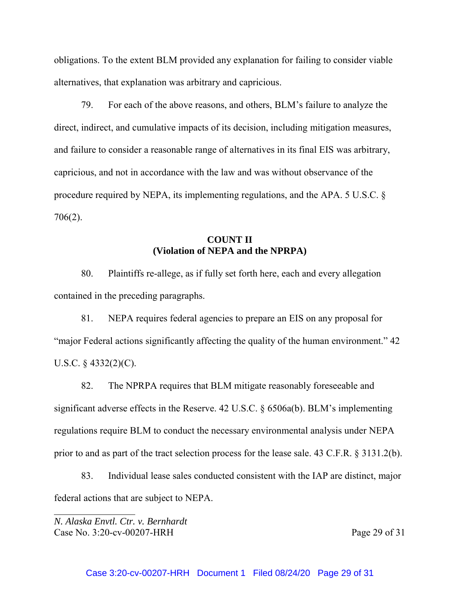obligations. To the extent BLM provided any explanation for failing to consider viable alternatives, that explanation was arbitrary and capricious.

79. For each of the above reasons, and others, BLM's failure to analyze the direct, indirect, and cumulative impacts of its decision, including mitigation measures, and failure to consider a reasonable range of alternatives in its final EIS was arbitrary, capricious, and not in accordance with the law and was without observance of the procedure required by NEPA, its implementing regulations, and the APA. 5 U.S.C. § 706(2).

# **COUNT II (Violation of NEPA and the NPRPA)**

80. Plaintiffs re-allege, as if fully set forth here, each and every allegation contained in the preceding paragraphs.

81. NEPA requires federal agencies to prepare an EIS on any proposal for "major Federal actions significantly affecting the quality of the human environment." 42 U.S.C.  $\S$  4332(2)(C).

82. The NPRPA requires that BLM mitigate reasonably foreseeable and significant adverse effects in the Reserve. 42 U.S.C. § 6506a(b). BLM's implementing regulations require BLM to conduct the necessary environmental analysis under NEPA prior to and as part of the tract selection process for the lease sale. 43 C.F.R. § 3131.2(b).

83. Individual lease sales conducted consistent with the IAP are distinct, major federal actions that are subject to NEPA.

*N. Alaska Envtl. Ctr. v. Bernhardt* Case No. 3:20-cv-00207-HRH Page 29 of 31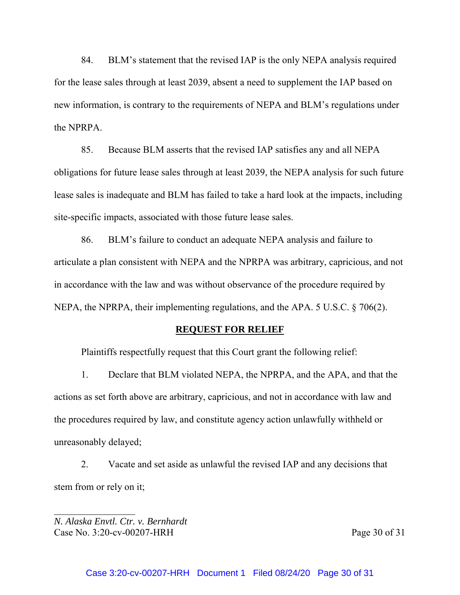84. BLM's statement that the revised IAP is the only NEPA analysis required for the lease sales through at least 2039, absent a need to supplement the IAP based on new information, is contrary to the requirements of NEPA and BLM's regulations under the NPRPA.

85. Because BLM asserts that the revised IAP satisfies any and all NEPA obligations for future lease sales through at least 2039, the NEPA analysis for such future lease sales is inadequate and BLM has failed to take a hard look at the impacts, including site-specific impacts, associated with those future lease sales.

86. BLM's failure to conduct an adequate NEPA analysis and failure to articulate a plan consistent with NEPA and the NPRPA was arbitrary, capricious, and not in accordance with the law and was without observance of the procedure required by NEPA, the NPRPA, their implementing regulations, and the APA. 5 U.S.C. § 706(2).

#### **REQUEST FOR RELIEF**

Plaintiffs respectfully request that this Court grant the following relief:

1. Declare that BLM violated NEPA, the NPRPA, and the APA, and that the actions as set forth above are arbitrary, capricious, and not in accordance with law and the procedures required by law, and constitute agency action unlawfully withheld or unreasonably delayed;

2. Vacate and set aside as unlawful the revised IAP and any decisions that stem from or rely on it;

*N. Alaska Envtl. Ctr. v. Bernhardt* Case No. 3:20-cv-00207-HRH Page 30 of 31